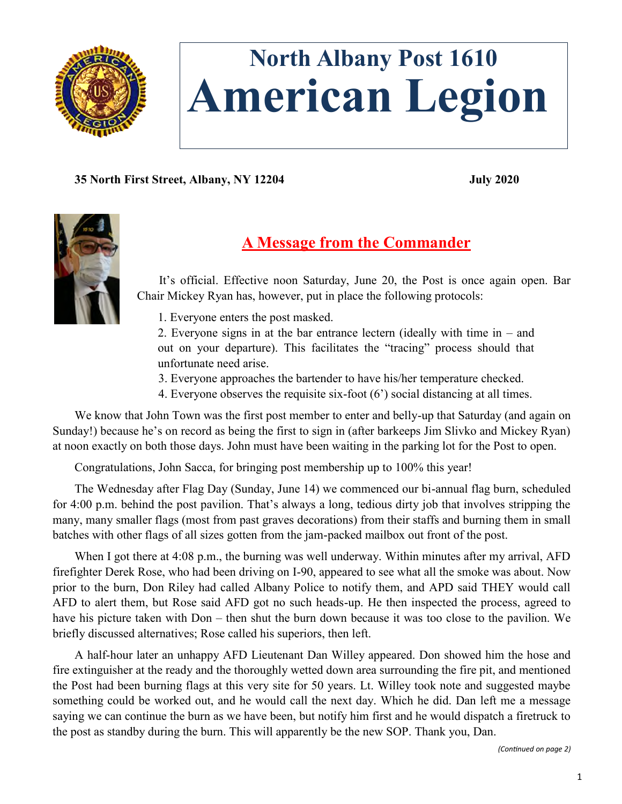

# **North Albany Post 1610 American Legion**

**35 North First Street, Albany, NY 12204 July 2020**



## **A Message from the Commander**

It's official. Effective noon Saturday, June 20, the Post is once again open. Bar Chair Mickey Ryan has, however, put in place the following protocols:

1. Everyone enters the post masked.

2. Everyone signs in at the bar entrance lectern (ideally with time in – and out on your departure). This facilitates the "tracing" process should that unfortunate need arise.

- 3. Everyone approaches the bartender to have his/her temperature checked.
- 4. Everyone observes the requisite six-foot (6') social distancing at all times.

We know that John Town was the first post member to enter and belly-up that Saturday (and again on Sunday!) because he's on record as being the first to sign in (after barkeeps Jim Slivko and Mickey Ryan) at noon exactly on both those days. John must have been waiting in the parking lot for the Post to open.

Congratulations, John Sacca, for bringing post membership up to 100% this year!

The Wednesday after Flag Day (Sunday, June 14) we commenced our bi-annual flag burn, scheduled for 4:00 p.m. behind the post pavilion. That's always a long, tedious dirty job that involves stripping the many, many smaller flags (most from past graves decorations) from their staffs and burning them in small batches with other flags of all sizes gotten from the jam-packed mailbox out front of the post.

When I got there at 4:08 p.m., the burning was well underway. Within minutes after my arrival, AFD firefighter Derek Rose, who had been driving on I-90, appeared to see what all the smoke was about. Now prior to the burn, Don Riley had called Albany Police to notify them, and APD said THEY would call AFD to alert them, but Rose said AFD got no such heads-up. He then inspected the process, agreed to have his picture taken with Don – then shut the burn down because it was too close to the pavilion. We briefly discussed alternatives; Rose called his superiors, then left.

A half-hour later an unhappy AFD Lieutenant Dan Willey appeared. Don showed him the hose and fire extinguisher at the ready and the thoroughly wetted down area surrounding the fire pit, and mentioned the Post had been burning flags at this very site for 50 years. Lt. Willey took note and suggested maybe something could be worked out, and he would call the next day. Which he did. Dan left me a message saying we can continue the burn as we have been, but notify him first and he would dispatch a firetruck to the post as standby during the burn. This will apparently be the new SOP. Thank you, Dan.

*(Continued on page 2)*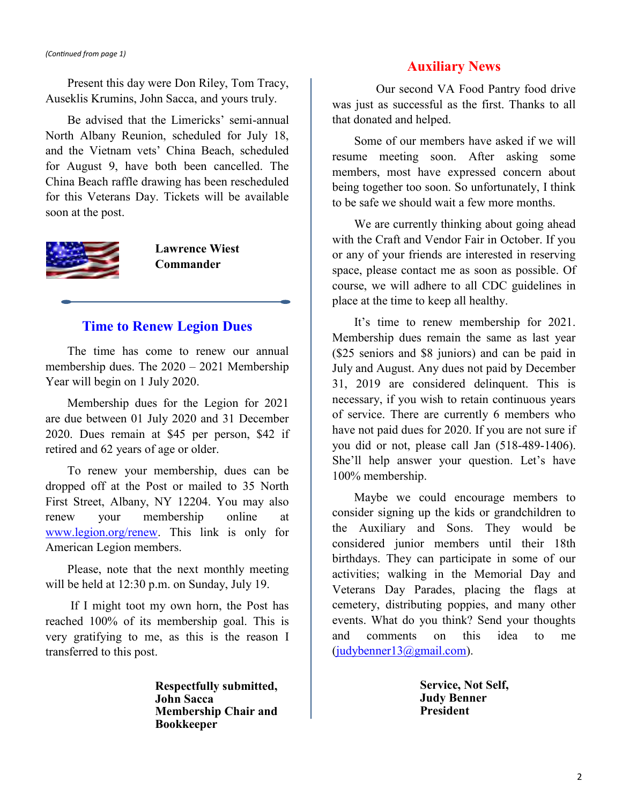#### *(Continued from page 1)*

Present this day were Don Riley, Tom Tracy, Auseklis Krumins, John Sacca, and yours truly.

Be advised that the Limericks' semi-annual North Albany Reunion, scheduled for July 18, and the Vietnam vets' China Beach, scheduled for August 9, have both been cancelled. The China Beach raffle drawing has been rescheduled for this Veterans Day. Tickets will be available soon at the post.



**Lawrence Wiest Commander**

#### **Time to Renew Legion Dues**

The time has come to renew our annual membership dues. The 2020 – 2021 Membership Year will begin on 1 July 2020.

Membership dues for the Legion for 2021 are due between 01 July 2020 and 31 December 2020. Dues remain at \$45 per person, \$42 if retired and 62 years of age or older.

To renew your membership, dues can be dropped off at the Post or mailed to 35 North First Street, Albany, NY 12204. You may also renew your membership online at [www.legion.org/renew.](http://www.legion.org/renew) This link is only for American Legion members.

Please, note that the next monthly meeting will be held at 12:30 p.m. on Sunday, July 19.

If I might toot my own horn, the Post has reached 100% of its membership goal. This is very gratifying to me, as this is the reason I transferred to this post.

> **Respectfully submitted, John Sacca Membership Chair and Bookkeeper**

#### **Auxiliary News**

Our second VA Food Pantry food drive was just as successful as the first. Thanks to all that donated and helped.

Some of our members have asked if we will resume meeting soon. After asking some members, most have expressed concern about being together too soon. So unfortunately, I think to be safe we should wait a few more months.

We are currently thinking about going ahead with the Craft and Vendor Fair in October. If you or any of your friends are interested in reserving space, please contact me as soon as possible. Of course, we will adhere to all CDC guidelines in place at the time to keep all healthy.

It's time to renew membership for 2021. Membership dues remain the same as last year (\$25 seniors and \$8 juniors) and can be paid in July and August. Any dues not paid by December 31, 2019 are considered delinquent. This is necessary, if you wish to retain continuous years of service. There are currently 6 members who have not paid dues for 2020. If you are not sure if you did or not, please call Jan (518-489-1406). She'll help answer your question. Let's have 100% membership.

Maybe we could encourage members to consider signing up the kids or grandchildren to the Auxiliary and Sons. They would be considered junior members until their 18th birthdays. They can participate in some of our activities; walking in the Memorial Day and Veterans Day Parades, placing the flags at cemetery, distributing poppies, and many other events. What do you think? Send your thoughts and comments on this idea to me [\(judybenner13@gmail.com\)](mailto:judybenner13@gmail.com).

> **Service, Not Self, Judy Benner President**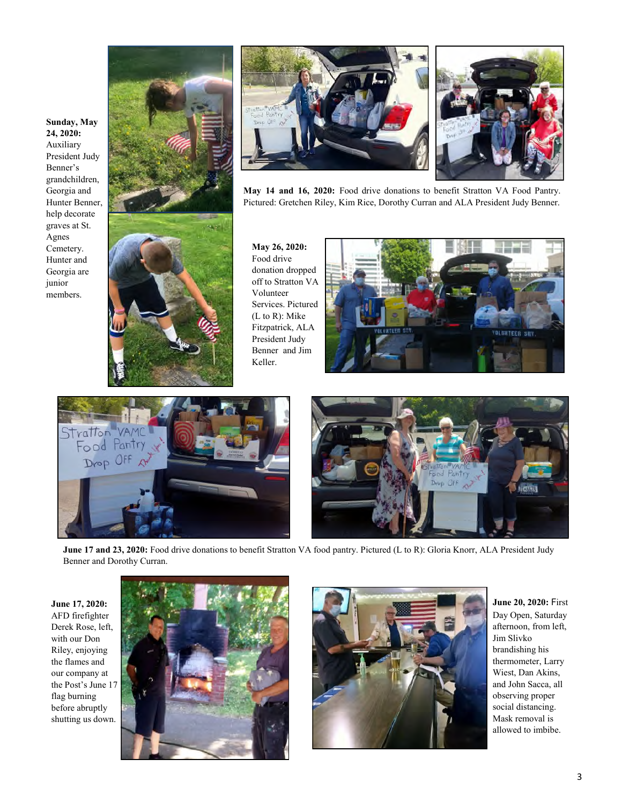







**May 14 and 16, 2020:** Food drive donations to benefit Stratton VA Food Pantry. Pictured: Gretchen Riley, Kim Rice, Dorothy Curran and ALA President Judy Benner.

**May 26, 2020:**  Food drive donation dropped off to Stratton VA Volunteer Services. Pictured (L to R): Mike Fitzpatrick, ALA President Judy Benner and Jim Keller.







**June 17 and 23, 2020:** Food drive donations to benefit Stratton VA food pantry. Pictured (L to R): Gloria Knorr, ALA President Judy Benner and Dorothy Curran.

**June 17, 2020:**  AFD firefighter Derek Rose, left, with our Don Riley, enjoying the flames and our company at the Post's June 17 flag burning before abruptly shutting us down.





**June 20, 2020:** First Day Open, Saturday afternoon, from left, Jim Slivko brandishing his thermometer, Larry Wiest, Dan Akins, and John Sacca, all observing proper social distancing. Mask removal is allowed to imbibe.